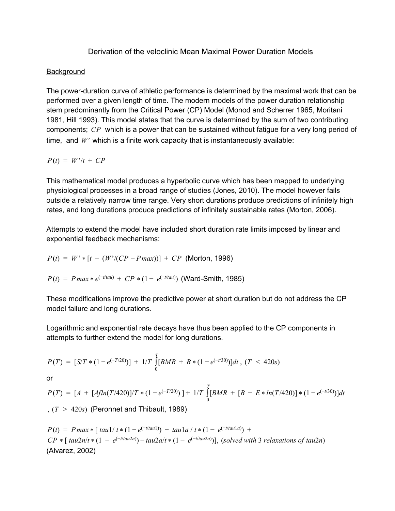## Derivation of the veloclinic Mean Maximal Power Duration Models

## **Background**

The power-duration curve of athletic performance is determined by the maximal work that can be performed over a given length of time. The modern models of the power duration relationship stem predominantly from the Critical Power (CP) Model (Monod and Scherrer 1965, Moritani 1981, Hill 1993). This model states that the curve is determined by the sum of two contributing components; *CP* which is a power that can be sustained without fatigue for a very long period of time, and *W*′ which is a finite work capacity that is instantaneously available:

$$
P(t) = W'/t + CP
$$

This mathematical model produces a hyperbolic curve which has been mapped to underlying physiological processes in a broad range of studies (Jones, 2010). The model however fails outside a relatively narrow time range. Very short durations produce predictions of infinitely high rates, and long durations produce predictions of infinitely sustainable rates (Morton, 2006).

Attempts to extend the model have included short duration rate limits imposed by linear and exponential feedback mechanisms:

$$
P(t) = W' * [t - (W'/(CP - P \, max))] + CP \text{ (Morton, 1996)}
$$

$$
P(t) = P \max * e^{(-t \tan)} + CP * (1 - e^{(-t \tan)})
$$
 (Ward-Smith, 1985)

These modifications improve the predictive power at short duration but do not address the CP model failure and long durations.

Logarithmic and exponential rate decays have thus been applied to the CP components in attempts to further extend the model for long durations.

$$
P(T) = [S/T * (1 - e^{(-T/20)})] + 1/T \int_{0}^{T} [BMR + B * (1 - e^{(-t/30)})] dt , (T < 420s)
$$

or

$$
P(T) = [A + [Afln(T/420)]/T * (1 - e^{(-T/20)})] + 1/T \int_{0}^{T} [BMR + [B + E * ln(T/420)] * (1 - e^{(-t/30)})]dt
$$
  
(T > 420s) (Peronnet and Thibault, 1989)

 $P(t) = P \max * [ \tan(1/t * (1 - e^{(-t/tau)}) - \tan(1a/t * (1 - e^{(-t/tau)}) + \tan(1a/t * (1 - e^{(-t/tau)}))]$  $CP * [tau2n/t * (1 - e^{(-t/tau2n)}) - tau2a/t * (1 - e^{(-t/tau2a)})],$  (solved with 3 relaxations of tau2n) (Alvarez, 2002)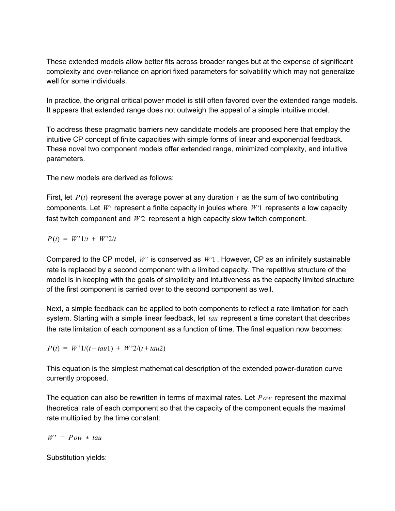These extended models allow better fits across broader ranges but at the expense of significant complexity and overreliance on apriori fixed parameters for solvability which may not generalize well for some individuals.

In practice, the original critical power model is still often favored over the extended range models. It appears that extended range does not outweigh the appeal of a simple intuitive model.

To address these pragmatic barriers new candidate models are proposed here that employ the intuitive CP concept of finite capacities with simple forms of linear and exponential feedback. These novel two component models offer extended range, minimized complexity, and intuitive parameters.

The new models are derived as follows:

First, let  $P(t)$  represent the average power at any duration  $t$  as the sum of two contributing components. Let *W*′ represent a finite capacity in joules where *W*′1 represents a low capacity fast twitch component and *W*′2 represent a high capacity slow twitch component.

$$
P(t) = W^{\prime}1/t + W^{\prime}2/t
$$

Compared to the CP model, *W*′ is conserved as *W*′1 . However, CP as an infinitely sustainable rate is replaced by a second component with a limited capacity. The repetitive structure of the model is in keeping with the goals of simplicity and intuitiveness as the capacity limited structure of the first component is carried over to the second component as well.

Next, a simple feedback can be applied to both components to reflect a rate limitation for each system. Starting with a simple linear feedback, let *tau* represent a time constant that describes the rate limitation of each component as a function of time. The final equation now becomes:

$$
P(t) = W'1/(t + tau1) + W'2/(t + tau2)
$$

This equation is the simplest mathematical description of the extended power-duration curve currently proposed.

The equation can also be rewritten in terms of maximal rates. Let *Pow* represent the maximal theoretical rate of each component so that the capacity of the component equals the maximal rate multiplied by the time constant:

 $W' = Pow * tau$ 

Substitution yields: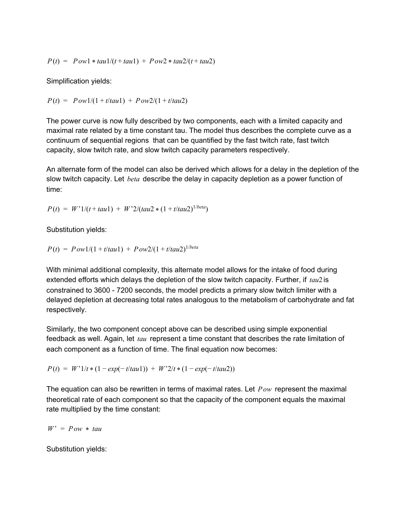$$
P(t) = Pow1 * tau1/(t + tau1) + Pow2 * tau2/(t + tau2)
$$

Simplification yields:

 $P(t) = Pow1/(1 + t/tau1) + Pow2/(1 + t/tau2)$ 

The power curve is now fully described by two components, each with a limited capacity and maximal rate related by a time constant tau. The model thus describes the complete curve as a continuum of sequential regions that can be quantified by the fast twitch rate, fast twitch capacity, slow twitch rate, and slow twitch capacity parameters respectively.

An alternate form of the model can also be derived which allows for a delay in the depletion of the slow twitch capacity. Let *beta* describe the delay in capacity depletion as a power function of time:

 $P(t) = W'1/(t + tau1) + W'2/(tau2 * (1 + t/tau2))^{1/beta})$ 

Substitution yields:

$$
P(t) = P \, \frac{1}{(1 + t/\tau)} + P \, \frac{1}{(1 + t/\tau)} \, \frac{1}{\tau} \, \frac{1}{\tau} \, \frac{1}{\tau} \, \frac{1}{\tau} \, \frac{1}{\tau} \, \frac{1}{\tau} \, \frac{1}{\tau} \, \frac{1}{\tau} \, \frac{1}{\tau} \, \frac{1}{\tau} \, \frac{1}{\tau} \, \frac{1}{\tau} \, \frac{1}{\tau} \, \frac{1}{\tau} \, \frac{1}{\tau} \, \frac{1}{\tau} \, \frac{1}{\tau} \, \frac{1}{\tau} \, \frac{1}{\tau} \, \frac{1}{\tau} \, \frac{1}{\tau} \, \frac{1}{\tau} \, \frac{1}{\tau} \, \frac{1}{\tau} \, \frac{1}{\tau} \, \frac{1}{\tau} \, \frac{1}{\tau} \, \frac{1}{\tau} \, \frac{1}{\tau} \, \frac{1}{\tau} \, \frac{1}{\tau} \, \frac{1}{\tau} \, \frac{1}{\tau} \, \frac{1}{\tau} \, \frac{1}{\tau} \, \frac{1}{\tau} \, \frac{1}{\tau} \, \frac{1}{\tau} \, \frac{1}{\tau} \, \frac{1}{\tau} \, \frac{1}{\tau} \, \frac{1}{\tau} \, \frac{1}{\tau} \, \frac{1}{\tau} \, \frac{1}{\tau} \, \frac{1}{\tau} \, \frac{1}{\tau} \, \frac{1}{\tau} \, \frac{1}{\tau} \, \frac{1}{\tau} \, \frac{1}{\tau} \, \frac{1}{\tau} \, \frac{1}{\tau} \, \frac{1}{\tau} \, \frac{1}{\tau} \, \frac{1}{\tau} \, \frac{1}{\tau} \, \frac{1}{\tau} \, \frac{1}{\tau} \, \frac{1}{\tau} \, \frac{1}{\tau} \, \frac{1}{\tau} \, \frac{1}{\tau} \, \frac{1}{\tau} \, \frac{1}{\tau} \, \frac{1}{\tau} \, \frac{1}{\tau} \, \frac{1}{\tau} \, \frac{1}{\tau} \, \frac{1}{\tau} \, \frac{1}{\tau} \, \frac{1}{\tau} \, \frac
$$

With minimal additional complexity, this alternate model allows for the intake of food during extended efforts which delays the depletion of the slow twitch capacity. Further, if *tau*2 is constrained to 3600 7200 seconds, the model predicts a primary slow twitch limiter with a delayed depletion at decreasing total rates analogous to the metabolism of carbohydrate and fat respectively.

Similarly, the two component concept above can be described using simple exponential feedback as well. Again, let *tau* represent a time constant that describes the rate limitation of each component as a function of time. The final equation now becomes:

 $P(t) = W'1/t * (1 - exp(-t/tau1)) + W'2/t * (1 - exp(-t/tau2))$ 

The equation can also be rewritten in terms of maximal rates. Let *Pow* represent the maximal theoretical rate of each component so that the capacity of the component equals the maximal rate multiplied by the time constant:

 $W' = Pow * tau$ 

Substitution yields: